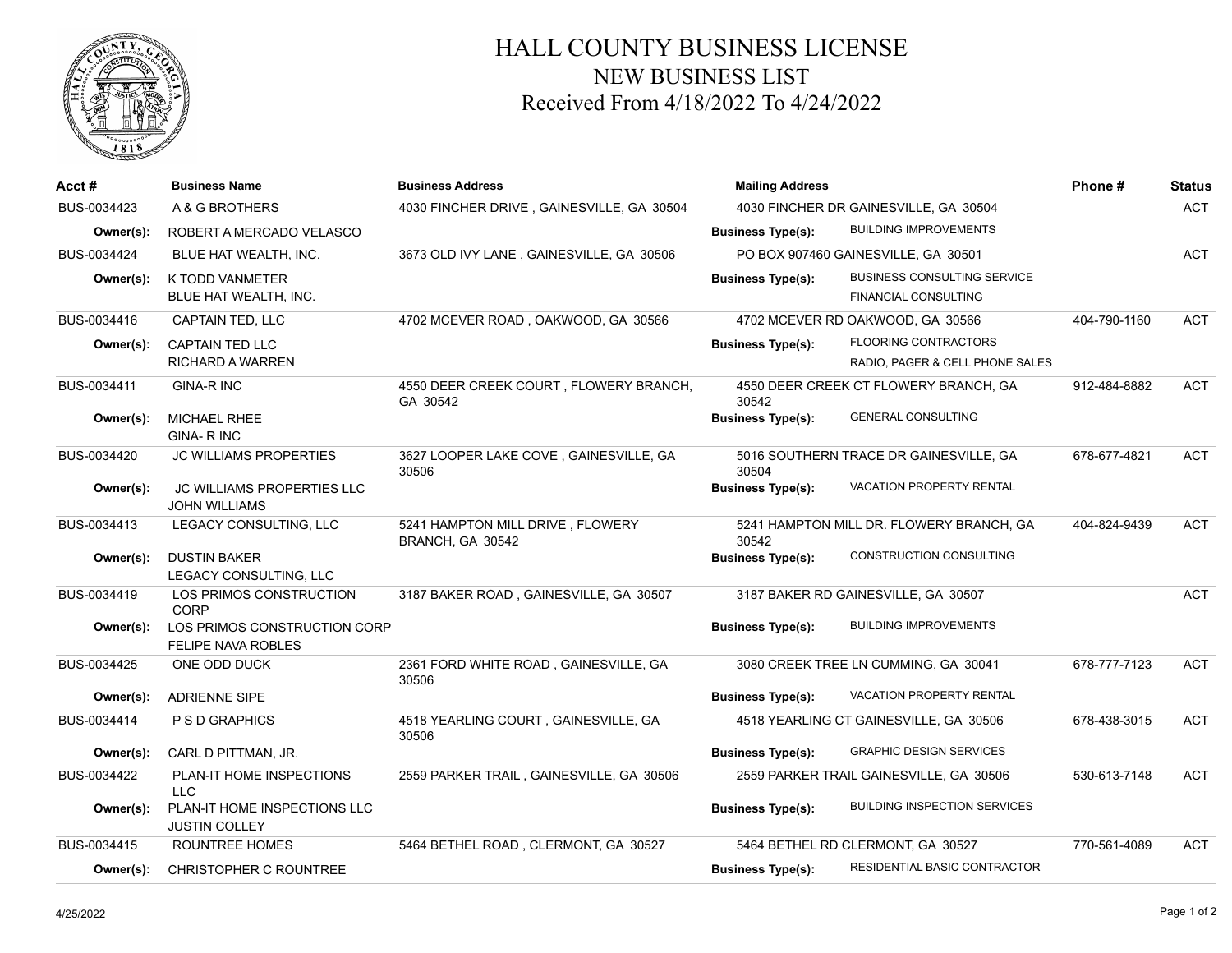

## HALL COUNTY BUSINESS LICENSE NEW BUSINESS LIST Received From 4/18/2022 To 4/24/2022

| $Acct \#$   | <b>Business Name</b>                                      | <b>Business Address</b>                              | <b>Mailing Address</b>                |                                                                   | Phone#       | <b>Status</b> |
|-------------|-----------------------------------------------------------|------------------------------------------------------|---------------------------------------|-------------------------------------------------------------------|--------------|---------------|
| BUS-0034423 | A & G BROTHERS                                            | 4030 FINCHER DRIVE, GAINESVILLE, GA 30504            | 4030 FINCHER DR GAINESVILLE, GA 30504 |                                                                   |              | <b>ACT</b>    |
| Owner(s):   | ROBERT A MERCADO VELASCO                                  |                                                      | <b>Business Type(s):</b>              | <b>BUILDING IMPROVEMENTS</b>                                      |              |               |
| BUS-0034424 | BLUE HAT WEALTH. INC.                                     | 3673 OLD IVY LANE, GAINESVILLE, GA 30506             |                                       | PO BOX 907460 GAINESVILLE, GA 30501                               |              | <b>ACT</b>    |
| Owner(s):   | K TODD VANMETER<br>BLUE HAT WEALTH, INC.                  |                                                      | <b>Business Type(s):</b>              | <b>BUSINESS CONSULTING SERVICE</b><br><b>FINANCIAL CONSULTING</b> |              |               |
| BUS-0034416 | <b>CAPTAIN TED, LLC</b>                                   | 4702 MCEVER ROAD, OAKWOOD, GA 30566                  |                                       | 4702 MCEVER RD OAKWOOD, GA 30566                                  | 404-790-1160 | <b>ACT</b>    |
| Owner(s):   | <b>CAPTAIN TED LLC</b><br><b>RICHARD A WARREN</b>         |                                                      | <b>Business Type(s):</b>              | <b>FLOORING CONTRACTORS</b><br>RADIO, PAGER & CELL PHONE SALES    |              |               |
| BUS-0034411 | <b>GINA-R INC</b>                                         | 4550 DEER CREEK COURT, FLOWERY BRANCH,<br>GA 30542   | 30542                                 | 4550 DEER CREEK CT FLOWERY BRANCH, GA                             | 912-484-8882 | <b>ACT</b>    |
| Owner(s):   | <b>MICHAEL RHEE</b><br><b>GINA-RINC</b>                   |                                                      | <b>Business Type(s):</b>              | <b>GENERAL CONSULTING</b>                                         |              |               |
| BUS-0034420 | <b>JC WILLIAMS PROPERTIES</b>                             | 3627 LOOPER LAKE COVE, GAINESVILLE, GA<br>30506      | 30504                                 | 5016 SOUTHERN TRACE DR GAINESVILLE, GA                            | 678-677-4821 | ACT           |
| Owner(s):   | <b>JC WILLIAMS PROPERTIES LLC</b><br><b>JOHN WILLIAMS</b> |                                                      | <b>Business Type(s):</b>              | VACATION PROPERTY RENTAL                                          |              |               |
| BUS-0034413 | LEGACY CONSULTING, LLC                                    | 5241 HAMPTON MILL DRIVE, FLOWERY<br>BRANCH, GA 30542 | 30542                                 | 5241 HAMPTON MILL DR. FLOWERY BRANCH, GA                          | 404-824-9439 | <b>ACT</b>    |
| Owner(s):   | <b>DUSTIN BAKER</b><br>LEGACY CONSULTING, LLC             |                                                      | <b>Business Type(s):</b>              | CONSTRUCTION CONSULTING                                           |              |               |
| BUS-0034419 | LOS PRIMOS CONSTRUCTION<br><b>CORP</b>                    | 3187 BAKER ROAD, GAINESVILLE, GA 30507               |                                       | 3187 BAKER RD GAINESVILLE, GA 30507                               |              | <b>ACT</b>    |
| Owner(s):   | LOS PRIMOS CONSTRUCTION CORP<br><b>FELIPE NAVA ROBLES</b> |                                                      | <b>Business Type(s):</b>              | <b>BUILDING IMPROVEMENTS</b>                                      |              |               |
| BUS-0034425 | ONE ODD DUCK                                              | 2361 FORD WHITE ROAD, GAINESVILLE, GA<br>30506       |                                       | 3080 CREEK TREE LN CUMMING, GA 30041                              | 678-777-7123 | <b>ACT</b>    |
| Owner(s):   | <b>ADRIENNE SIPE</b>                                      |                                                      | <b>Business Type(s):</b>              | <b>VACATION PROPERTY RENTAL</b>                                   |              |               |
| BUS-0034414 | P S D GRAPHICS                                            | 4518 YEARLING COURT, GAINESVILLE, GA<br>30506        |                                       | 4518 YEARLING CT GAINESVILLE, GA 30506                            | 678-438-3015 | <b>ACT</b>    |
| Owner(s):   | CARL D PITTMAN, JR.                                       |                                                      | <b>Business Type(s):</b>              | <b>GRAPHIC DESIGN SERVICES</b>                                    |              |               |
| BUS-0034422 | PLAN-IT HOME INSPECTIONS<br><b>LLC</b>                    | 2559 PARKER TRAIL, GAINESVILLE, GA 30506             |                                       | 2559 PARKER TRAIL GAINESVILLE, GA 30506                           | 530-613-7148 | <b>ACT</b>    |
| Owner(s):   | PLAN-IT HOME INSPECTIONS LLC<br><b>JUSTIN COLLEY</b>      |                                                      | <b>Business Type(s):</b>              | <b>BUILDING INSPECTION SERVICES</b>                               |              |               |
| BUS-0034415 | ROUNTREE HOMES                                            | 5464 BETHEL ROAD, CLERMONT, GA 30527                 |                                       | 5464 BETHEL RD CLERMONT, GA 30527                                 | 770-561-4089 | <b>ACT</b>    |
| Owner(s):   | <b>CHRISTOPHER C ROUNTREE</b>                             |                                                      | <b>Business Type(s):</b>              | RESIDENTIAL BASIC CONTRACTOR                                      |              |               |